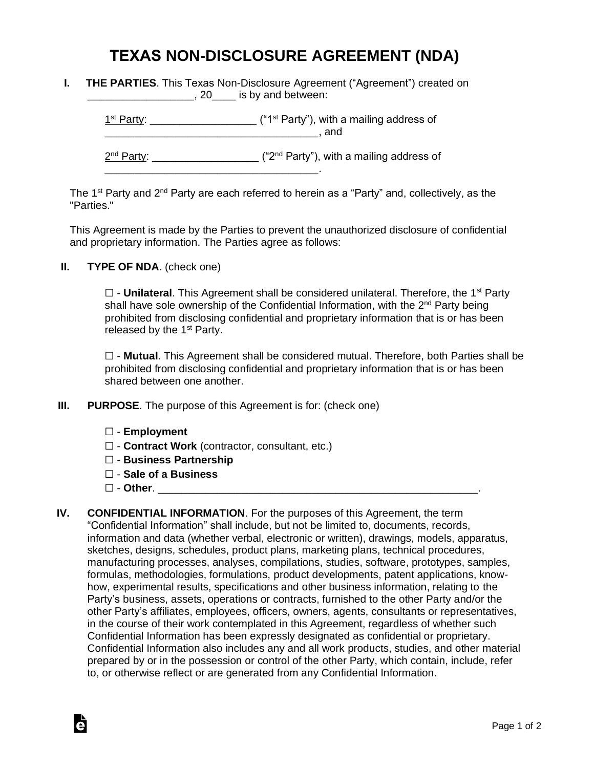## **TEXAS NON-DISCLOSURE AGREEMENT (NDA)**

| <b>THE PARTIES.</b> This Texas Non-Disclosure Agreement ("Agreement") created on |
|----------------------------------------------------------------------------------|
| , 20____ is by and between:                                                      |

 $1<sup>st</sup> Party: _______$  $\blacksquare$  and  $\blacksquare$ 

2<sup>nd</sup> Party: \_\_\_\_\_\_\_\_\_\_\_\_\_\_\_\_\_\_\_\_ ("2<sup>nd</sup> Party"), with a mailing address of

The 1<sup>st</sup> Party and 2<sup>nd</sup> Party are each referred to herein as a "Party" and, collectively, as the "Parties."

This Agreement is made by the Parties to prevent the unauthorized disclosure of confidential and proprietary information. The Parties agree as follows:

**II. TYPE OF NDA**. (check one)

□ - **Unilateral**. This Agreement shall be considered unilateral. Therefore, the 1<sup>st</sup> Party shall have sole ownership of the Confidential Information, with the 2<sup>nd</sup> Party being prohibited from disclosing confidential and proprietary information that is or has been released by the  $1<sup>st</sup>$  Party.

☐ - **Mutual**. This Agreement shall be considered mutual. Therefore, both Parties shall be prohibited from disclosing confidential and proprietary information that is or has been shared between one another.

**III. PURPOSE**. The purpose of this Agreement is for: (check one)

\_\_\_\_\_\_\_\_\_\_\_\_\_\_\_\_\_\_\_\_\_\_\_\_\_\_\_\_\_\_\_\_\_\_\_\_.

- ☐ **Employment**
- ☐ **Contract Work** (contractor, consultant, etc.)
- ☐ **Business Partnership**
- ☐ **Sale of a Business**
- ☐ **Other**. \_\_\_\_\_\_\_\_\_\_\_\_\_\_\_\_\_\_\_\_\_\_\_\_\_\_\_\_\_\_\_\_\_\_\_\_\_\_\_\_\_\_\_\_\_\_\_\_\_\_\_\_\_\_.

Ġ

**IV. CONFIDENTIAL INFORMATION**. For the purposes of this Agreement, the term "Confidential Information" shall include, but not be limited to, documents, records, information and data (whether verbal, electronic or written), drawings, models, apparatus, sketches, designs, schedules, product plans, marketing plans, technical procedures, manufacturing processes, analyses, compilations, studies, software, prototypes, samples, formulas, methodologies, formulations, product developments, patent applications, knowhow, experimental results, specifications and other business information, relating to the Party's business, assets, operations or contracts, furnished to the other Party and/or the other Party's affiliates, employees, officers, owners, agents, consultants or representatives, in the course of their work contemplated in this Agreement, regardless of whether such Confidential Information has been expressly designated as confidential or proprietary. Confidential Information also includes any and all work products, studies, and other material prepared by or in the possession or control of the other Party, which contain, include, refer to, or otherwise reflect or are generated from any Confidential Information.